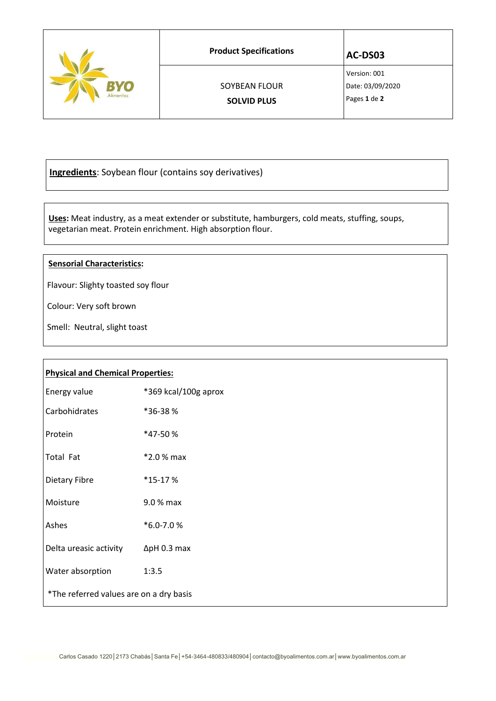|                 | <b>Product Specifications</b>       | AC-DS03                                          |
|-----------------|-------------------------------------|--------------------------------------------------|
| Y0<br>Alimentos | SOYBEAN FLOUR<br><b>SOLVID PLUS</b> | Version: 001<br>Date: 03/09/2020<br>Pages 1 de 2 |

**Ingredients**: Soybean flour (contains soy derivatives)

 **Uses:** Meat industry, as a meat extender or substitute, hamburgers, cold meats, stuffing, soups, vegetarian meat. Protein enrichment. High absorption flour.

## **Sensorial Characteristics:**

Flavour: Slighty toasted soy flour

Colour: Very soft brown

Smell: Neutral, slight toast

| <b>Physical and Chemical Properties:</b> |                      |  |  |
|------------------------------------------|----------------------|--|--|
| Energy value                             | *369 kcal/100g aprox |  |  |
| Carbohidrates                            | *36-38%              |  |  |
| Protein                                  | *47-50%              |  |  |
| Total Fat                                | $*2.0%$ max          |  |  |
| Dietary Fibre                            | $*15-17%$            |  |  |
| Moisture                                 | 9.0 % max            |  |  |
| Ashes                                    | *6.0-7.0%            |  |  |
| Delta ureasic activity                   | $\Delta$ pH 0.3 max  |  |  |
| Water absorption                         | 1:3.5                |  |  |
| *The referred values are on a dry basis  |                      |  |  |